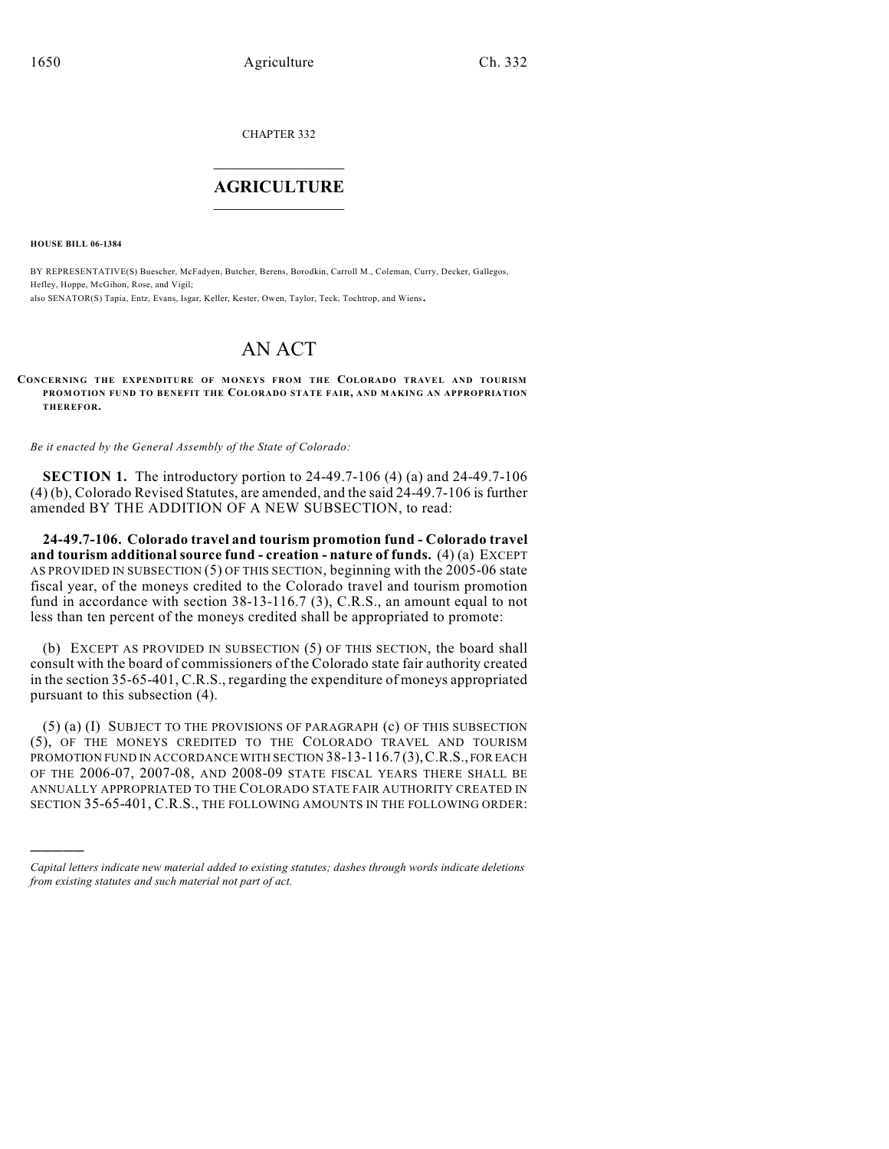CHAPTER 332  $\overline{\phantom{a}}$  . The set of the set of the set of the set of the set of the set of the set of the set of the set of the set of the set of the set of the set of the set of the set of the set of the set of the set of the set o

## **AGRICULTURE**  $\_$   $\_$   $\_$   $\_$   $\_$   $\_$   $\_$   $\_$

**HOUSE BILL 06-1384**

)))))

BY REPRESENTATIVE(S) Buescher, McFadyen, Butcher, Berens, Borodkin, Carroll M., Coleman, Curry, Decker, Gallegos, Hefley, Hoppe, McGihon, Rose, and Vigil; also SENATOR(S) Tapia, Entz, Evans, Isgar, Keller, Kester, Owen, Taylor, Teck, Tochtrop, and Wiens.

# AN ACT

#### **CONCERNING THE EXPENDITURE OF MONEYS FROM THE COLORADO TRAVEL AND TOURISM PROMOTION FUND TO BENEFIT THE COLORADO STATE FAIR, AND MAKING AN APPROPRIATION THEREFOR.**

*Be it enacted by the General Assembly of the State of Colorado:*

**SECTION 1.** The introductory portion to 24-49.7-106 (4) (a) and 24-49.7-106 (4) (b), Colorado Revised Statutes, are amended, and the said 24-49.7-106 is further amended BY THE ADDITION OF A NEW SUBSECTION, to read:

**24-49.7-106. Colorado travel and tourism promotion fund - Colorado travel and tourism additional source fund - creation - nature of funds.** (4) (a) EXCEPT AS PROVIDED IN SUBSECTION (5) OF THIS SECTION, beginning with the 2005-06 state fiscal year, of the moneys credited to the Colorado travel and tourism promotion fund in accordance with section 38-13-116.7 (3), C.R.S., an amount equal to not less than ten percent of the moneys credited shall be appropriated to promote:

(b) EXCEPT AS PROVIDED IN SUBSECTION (5) OF THIS SECTION, the board shall consult with the board of commissioners of the Colorado state fair authority created in the section 35-65-401, C.R.S., regarding the expenditure of moneys appropriated pursuant to this subsection (4).

(5) (a) (I) SUBJECT TO THE PROVISIONS OF PARAGRAPH (c) OF THIS SUBSECTION (5), OF THE MONEYS CREDITED TO THE COLORADO TRAVEL AND TOURISM PROMOTION FUND IN ACCORDANCE WITH SECTION 38-13-116.7 (3), C.R.S., FOR EACH OF THE 2006-07, 2007-08, AND 2008-09 STATE FISCAL YEARS THERE SHALL BE ANNUALLY APPROPRIATED TO THE COLORADO STATE FAIR AUTHORITY CREATED IN SECTION 35-65-401, C.R.S., THE FOLLOWING AMOUNTS IN THE FOLLOWING ORDER:

*Capital letters indicate new material added to existing statutes; dashes through words indicate deletions from existing statutes and such material not part of act.*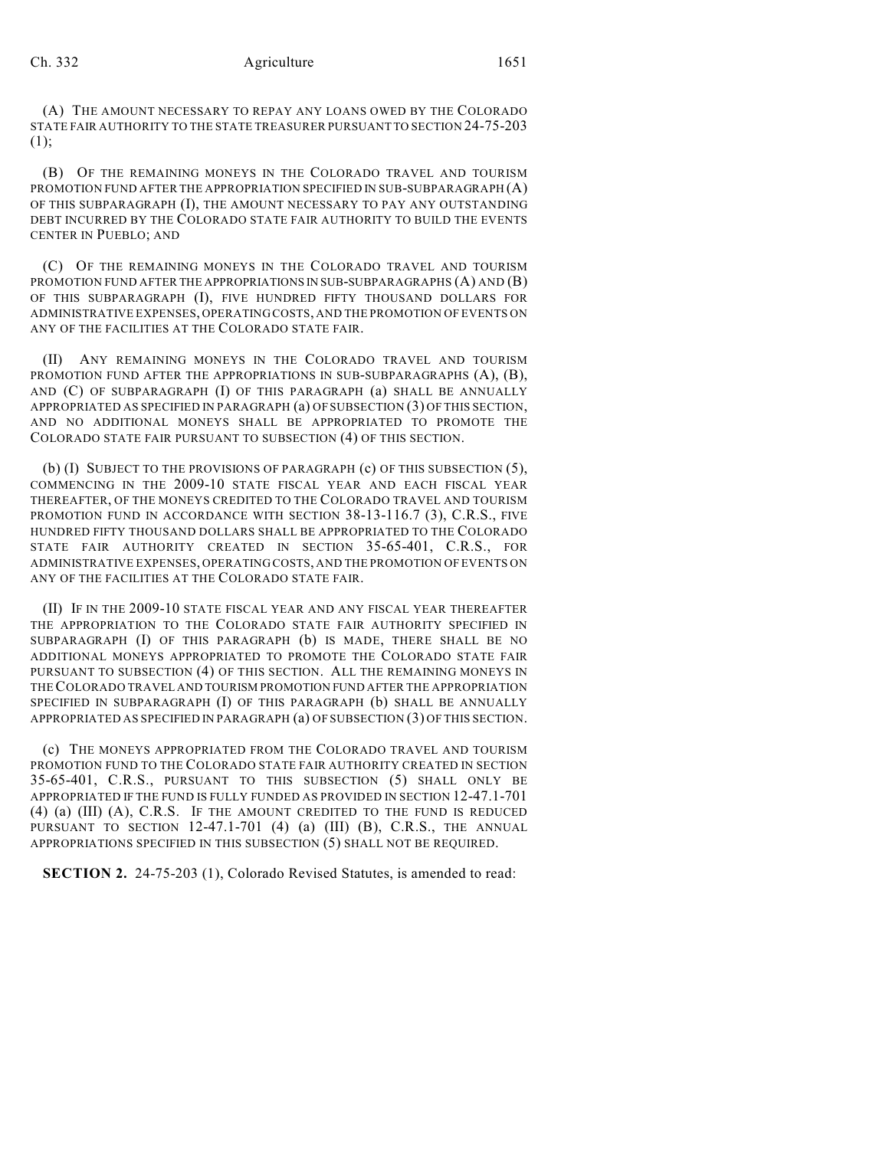### Ch. 332 Agriculture 1651

(A) THE AMOUNT NECESSARY TO REPAY ANY LOANS OWED BY THE COLORADO STATE FAIR AUTHORITY TO THE STATE TREASURER PURSUANT TO SECTION 24-75-203 (1);

(B) OF THE REMAINING MONEYS IN THE COLORADO TRAVEL AND TOURISM PROMOTION FUND AFTER THE APPROPRIATION SPECIFIED IN SUB-SUBPARAGRAPH (A) OF THIS SUBPARAGRAPH (I), THE AMOUNT NECESSARY TO PAY ANY OUTSTANDING DEBT INCURRED BY THE COLORADO STATE FAIR AUTHORITY TO BUILD THE EVENTS CENTER IN PUEBLO; AND

(C) OF THE REMAINING MONEYS IN THE COLORADO TRAVEL AND TOURISM PROMOTION FUND AFTER THE APPROPRIATIONS IN SUB-SUBPARAGRAPHS (A) AND (B) OF THIS SUBPARAGRAPH (I), FIVE HUNDRED FIFTY THOUSAND DOLLARS FOR ADMINISTRATIVE EXPENSES, OPERATING COSTS, AND THE PROMOTION OF EVENTS ON ANY OF THE FACILITIES AT THE COLORADO STATE FAIR.

(II) ANY REMAINING MONEYS IN THE COLORADO TRAVEL AND TOURISM PROMOTION FUND AFTER THE APPROPRIATIONS IN SUB-SUBPARAGRAPHS (A), (B), AND (C) OF SUBPARAGRAPH (I) OF THIS PARAGRAPH (a) SHALL BE ANNUALLY APPROPRIATED AS SPECIFIED IN PARAGRAPH (a) OF SUBSECTION (3) OF THIS SECTION, AND NO ADDITIONAL MONEYS SHALL BE APPROPRIATED TO PROMOTE THE COLORADO STATE FAIR PURSUANT TO SUBSECTION (4) OF THIS SECTION.

(b) (I) SUBJECT TO THE PROVISIONS OF PARAGRAPH (c) OF THIS SUBSECTION (5), COMMENCING IN THE 2009-10 STATE FISCAL YEAR AND EACH FISCAL YEAR THEREAFTER, OF THE MONEYS CREDITED TO THE COLORADO TRAVEL AND TOURISM PROMOTION FUND IN ACCORDANCE WITH SECTION 38-13-116.7 (3), C.R.S., FIVE HUNDRED FIFTY THOUSAND DOLLARS SHALL BE APPROPRIATED TO THE COLORADO STATE FAIR AUTHORITY CREATED IN SECTION 35-65-401, C.R.S., FOR ADMINISTRATIVE EXPENSES, OPERATING COSTS, AND THE PROMOTION OFEVENTS ON ANY OF THE FACILITIES AT THE COLORADO STATE FAIR.

(II) IF IN THE 2009-10 STATE FISCAL YEAR AND ANY FISCAL YEAR THEREAFTER THE APPROPRIATION TO THE COLORADO STATE FAIR AUTHORITY SPECIFIED IN SUBPARAGRAPH (I) OF THIS PARAGRAPH (b) IS MADE, THERE SHALL BE NO ADDITIONAL MONEYS APPROPRIATED TO PROMOTE THE COLORADO STATE FAIR PURSUANT TO SUBSECTION (4) OF THIS SECTION. ALL THE REMAINING MONEYS IN THE COLORADO TRAVEL AND TOURISM PROMOTION FUND AFTER THE APPROPRIATION SPECIFIED IN SUBPARAGRAPH (I) OF THIS PARAGRAPH (b) SHALL BE ANNUALLY APPROPRIATED AS SPECIFIED IN PARAGRAPH (a) OF SUBSECTION (3) OF THIS SECTION.

(c) THE MONEYS APPROPRIATED FROM THE COLORADO TRAVEL AND TOURISM PROMOTION FUND TO THE COLORADO STATE FAIR AUTHORITY CREATED IN SECTION 35-65-401, C.R.S., PURSUANT TO THIS SUBSECTION (5) SHALL ONLY BE APPROPRIATED IF THE FUND IS FULLY FUNDED AS PROVIDED IN SECTION 12-47.1-701 (4) (a) (III) (A), C.R.S. IF THE AMOUNT CREDITED TO THE FUND IS REDUCED PURSUANT TO SECTION  $12-47.1-701$  (4) (a) (III) (B), C.R.S., THE ANNUAL APPROPRIATIONS SPECIFIED IN THIS SUBSECTION (5) SHALL NOT BE REQUIRED.

**SECTION 2.** 24-75-203 (1), Colorado Revised Statutes, is amended to read: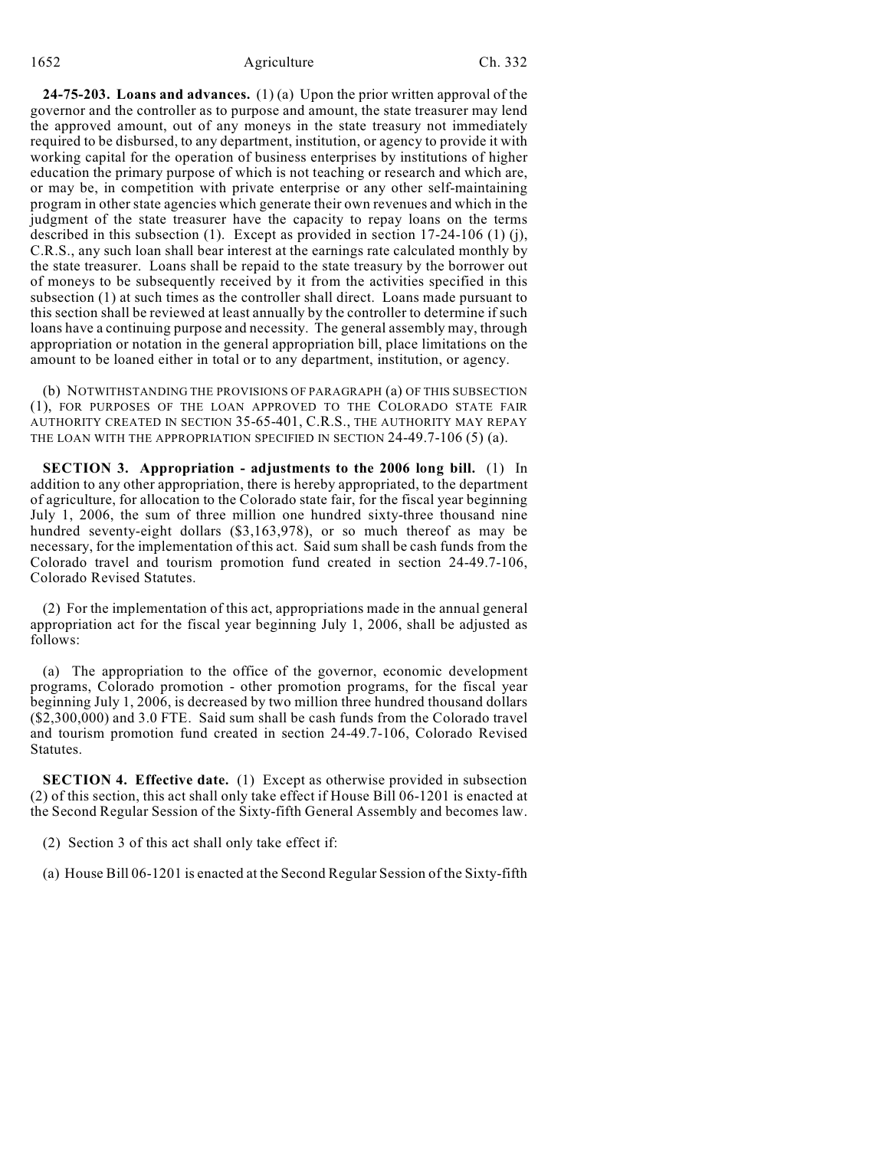**24-75-203. Loans and advances.** (1) (a) Upon the prior written approval of the governor and the controller as to purpose and amount, the state treasurer may lend the approved amount, out of any moneys in the state treasury not immediately required to be disbursed, to any department, institution, or agency to provide it with working capital for the operation of business enterprises by institutions of higher education the primary purpose of which is not teaching or research and which are, or may be, in competition with private enterprise or any other self-maintaining program in other state agencies which generate their own revenues and which in the judgment of the state treasurer have the capacity to repay loans on the terms described in this subsection (1). Except as provided in section 17-24-106 (1) (j), C.R.S., any such loan shall bear interest at the earnings rate calculated monthly by the state treasurer. Loans shall be repaid to the state treasury by the borrower out of moneys to be subsequently received by it from the activities specified in this subsection (1) at such times as the controller shall direct. Loans made pursuant to this section shall be reviewed at least annually by the controller to determine if such loans have a continuing purpose and necessity. The general assembly may, through appropriation or notation in the general appropriation bill, place limitations on the amount to be loaned either in total or to any department, institution, or agency.

(b) NOTWITHSTANDING THE PROVISIONS OF PARAGRAPH (a) OF THIS SUBSECTION (1), FOR PURPOSES OF THE LOAN APPROVED TO THE COLORADO STATE FAIR AUTHORITY CREATED IN SECTION 35-65-401, C.R.S., THE AUTHORITY MAY REPAY THE LOAN WITH THE APPROPRIATION SPECIFIED IN SECTION 24-49.7-106 (5) (a).

**SECTION 3. Appropriation - adjustments to the 2006 long bill.** (1) In addition to any other appropriation, there is hereby appropriated, to the department of agriculture, for allocation to the Colorado state fair, for the fiscal year beginning July 1, 2006, the sum of three million one hundred sixty-three thousand nine hundred seventy-eight dollars (\$3,163,978), or so much thereof as may be necessary, for the implementation of this act. Said sum shall be cash funds from the Colorado travel and tourism promotion fund created in section 24-49.7-106, Colorado Revised Statutes.

(2) For the implementation of this act, appropriations made in the annual general appropriation act for the fiscal year beginning July 1, 2006, shall be adjusted as follows:

(a) The appropriation to the office of the governor, economic development programs, Colorado promotion - other promotion programs, for the fiscal year beginning July 1, 2006, is decreased by two million three hundred thousand dollars (\$2,300,000) and 3.0 FTE. Said sum shall be cash funds from the Colorado travel and tourism promotion fund created in section 24-49.7-106, Colorado Revised Statutes.

**SECTION 4. Effective date.** (1) Except as otherwise provided in subsection (2) of this section, this act shall only take effect if House Bill 06-1201 is enacted at the Second Regular Session of the Sixty-fifth General Assembly and becomes law.

(2) Section 3 of this act shall only take effect if:

(a) House Bill 06-1201 is enacted at the Second Regular Session of the Sixty-fifth